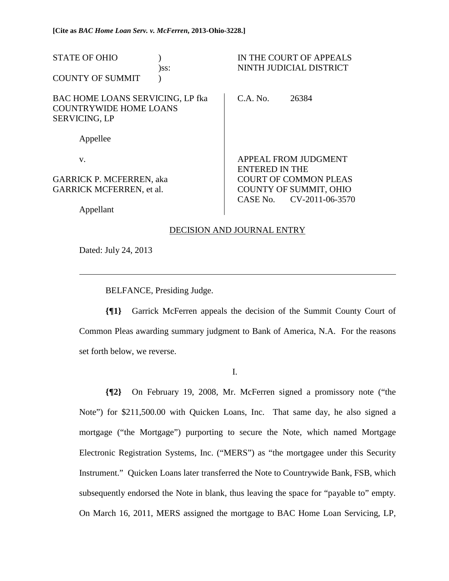| <b>STATE OF OHIO</b><br><b>COUNTY OF SUMMIT</b>                                                  | )ss: | IN THE COURT OF APPEALS<br>NINTH JUDICIAL DISTRICT |                                                  |  |
|--------------------------------------------------------------------------------------------------|------|----------------------------------------------------|--------------------------------------------------|--|
| <b>BAC HOME LOANS SERVICING, LP fka</b><br><b>COUNTRYWIDE HOME LOANS</b><br><b>SERVICING, LP</b> |      | C.A. No.                                           | 26384                                            |  |
| Appellee                                                                                         |      |                                                    |                                                  |  |
| V.                                                                                               |      | <b>ENTERED IN THE</b>                              | APPEAL FROM JUDGMENT                             |  |
| <b>GARRICK P. MCFERREN, aka</b>                                                                  |      |                                                    | <b>COURT OF COMMON PLEAS</b>                     |  |
| <b>GARRICK MCFERREN, et al.</b>                                                                  |      | CASE No.                                           | <b>COUNTY OF SUMMIT, OHIO</b><br>CV-2011-06-3570 |  |
| Appellant                                                                                        |      |                                                    |                                                  |  |

## DECISION AND JOURNAL ENTRY

Dated: July 24, 2013

 $\overline{a}$ 

BELFANCE, Presiding Judge.

**{¶1}** Garrick McFerren appeals the decision of the Summit County Court of Common Pleas awarding summary judgment to Bank of America, N.A. For the reasons set forth below, we reverse.

I.

**{¶2}** On February 19, 2008, Mr. McFerren signed a promissory note ("the Note") for \$211,500.00 with Quicken Loans, Inc. That same day, he also signed a mortgage ("the Mortgage") purporting to secure the Note, which named Mortgage Electronic Registration Systems, Inc. ("MERS") as "the mortgagee under this Security Instrument." Quicken Loans later transferred the Note to Countrywide Bank, FSB, which subsequently endorsed the Note in blank, thus leaving the space for "payable to" empty. On March 16, 2011, MERS assigned the mortgage to BAC Home Loan Servicing, LP,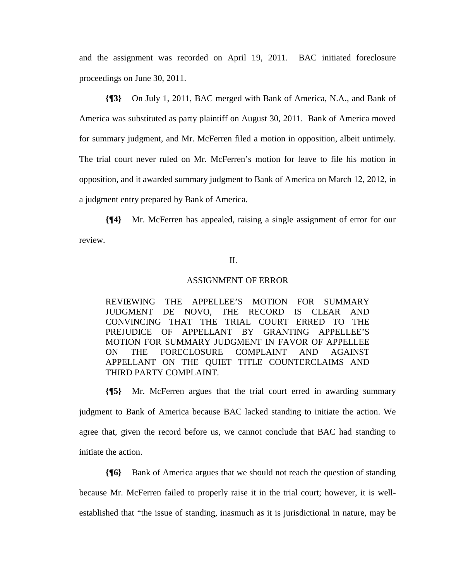and the assignment was recorded on April 19, 2011. BAC initiated foreclosure proceedings on June 30, 2011.

**{¶3}** On July 1, 2011, BAC merged with Bank of America, N.A., and Bank of America was substituted as party plaintiff on August 30, 2011. Bank of America moved for summary judgment, and Mr. McFerren filed a motion in opposition, albeit untimely. The trial court never ruled on Mr. McFerren's motion for leave to file his motion in opposition, and it awarded summary judgment to Bank of America on March 12, 2012, in a judgment entry prepared by Bank of America.

**{¶4}** Mr. McFerren has appealed, raising a single assignment of error for our review.

## II.

#### ASSIGNMENT OF ERROR

REVIEWING THE APPELLEE'S MOTION FOR SUMMARY JUDGMENT DE NOVO, THE RECORD IS CLEAR AND CONVINCING THAT THE TRIAL COURT ERRED TO THE PREJUDICE OF APPELLANT BY GRANTING APPELLEE'S MOTION FOR SUMMARY JUDGMENT IN FAVOR OF APPELLEE ON THE FORECLOSURE COMPLAINT AND AGAINST APPELLANT ON THE QUIET TITLE COUNTERCLAIMS AND THIRD PARTY COMPLAINT.

**{¶5}** Mr. McFerren argues that the trial court erred in awarding summary judgment to Bank of America because BAC lacked standing to initiate the action. We agree that, given the record before us, we cannot conclude that BAC had standing to initiate the action.

**{¶6}** Bank of America argues that we should not reach the question of standing because Mr. McFerren failed to properly raise it in the trial court; however, it is wellestablished that "the issue of standing, inasmuch as it is jurisdictional in nature, may be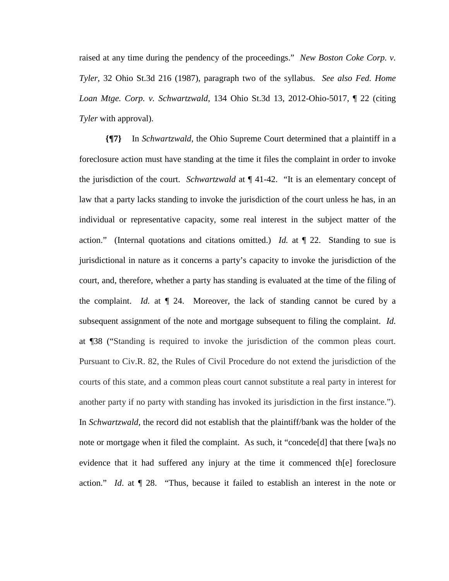raised at any time during the pendency of the proceedings." *New Boston Coke Corp. v. Tyler*, 32 Ohio St.3d 216 (1987), paragraph two of the syllabus. *See also Fed. Home Loan Mtge. Corp. v. Schwartzwald*, 134 Ohio St.3d 13, 2012-Ohio-5017, ¶ 22 (citing *Tyler* with approval).

**{¶7}** In *Schwartzwald*, the Ohio Supreme Court determined that a plaintiff in a foreclosure action must have standing at the time it files the complaint in order to invoke the jurisdiction of the court. *Schwartzwald* at ¶ 41-42. "It is an elementary concept of law that a party lacks standing to invoke the jurisdiction of the court unless he has, in an individual or representative capacity, some real interest in the subject matter of the action." (Internal quotations and citations omitted.) *Id.* at ¶ 22. Standing to sue is jurisdictional in nature as it concerns a party's capacity to invoke the jurisdiction of the court, and, therefore, whether a party has standing is evaluated at the time of the filing of the complaint. *Id.* at ¶ 24. Moreover, the lack of standing cannot be cured by a subsequent assignment of the note and mortgage subsequent to filing the complaint. *Id.*  at ¶38 ("Standing is required to invoke the jurisdiction of the common pleas court. Pursuant to Civ.R. 82, the Rules of Civil Procedure do not extend the jurisdiction of the courts of this state, and a common pleas court cannot substitute a real party in interest for another party if no party with standing has invoked its jurisdiction in the first instance."). In *Schwartzwald,* the record did not establish that the plaintiff/bank was the holder of the note or mortgage when it filed the complaint. As such, it "concede[d] that there [wa]s no evidence that it had suffered any injury at the time it commenced th[e] foreclosure action." *Id*. at ¶ 28. "Thus, because it failed to establish an interest in the note or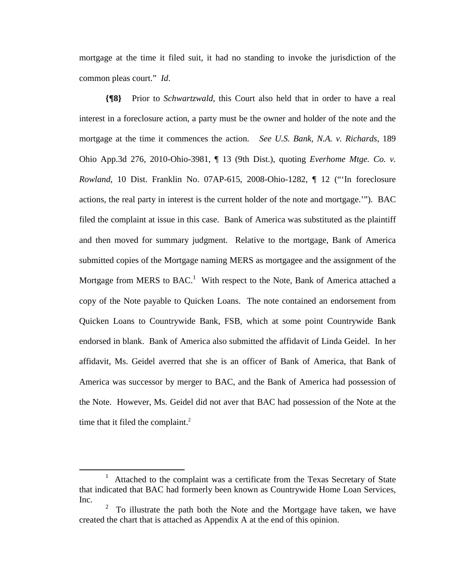mortgage at the time it filed suit, it had no standing to invoke the jurisdiction of the common pleas court." *Id*.

**{¶8}** Prior to *Schwartzwald*, this Court also held that in order to have a real interest in a foreclosure action, a party must be the owner and holder of the note and the mortgage at the time it commences the action. *See U.S. Bank, N.A. v. Richards*, 189 Ohio App.3d 276, 2010-Ohio-3981, ¶ 13 (9th Dist.), quoting *Everhome Mtge. Co. v. Rowland*, 10 Dist. Franklin No. 07AP-615, 2008-Ohio-1282, ¶ 12 ("'In foreclosure actions, the real party in interest is the current holder of the note and mortgage.'"). BAC filed the complaint at issue in this case. Bank of America was substituted as the plaintiff and then moved for summary judgment. Relative to the mortgage, Bank of America submitted copies of the Mortgage naming MERS as mortgagee and the assignment of the Mortgage from MERS to BAC.<sup>1</sup> With respect to the Note, Bank of America attached a copy of the Note payable to Quicken Loans. The note contained an endorsement from Quicken Loans to Countrywide Bank, FSB, which at some point Countrywide Bank endorsed in blank. Bank of America also submitted the affidavit of Linda Geidel. In her affidavit, Ms. Geidel averred that she is an officer of Bank of America, that Bank of America was successor by merger to BAC, and the Bank of America had possession of the Note. However, Ms. Geidel did not aver that BAC had possession of the Note at the time that it filed the complaint. $<sup>2</sup>$ </sup>

 $\frac{1}{1}$  Attached to the complaint was a certificate from the Texas Secretary of State that indicated that BAC had formerly been known as Countrywide Home Loan Services, Inc.

<sup>2</sup> To illustrate the path both the Note and the Mortgage have taken, we have created the chart that is attached as Appendix A at the end of this opinion.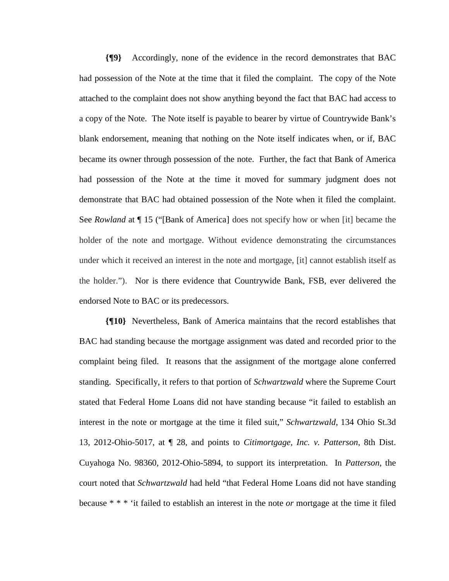**{¶9}** Accordingly, none of the evidence in the record demonstrates that BAC had possession of the Note at the time that it filed the complaint. The copy of the Note attached to the complaint does not show anything beyond the fact that BAC had access to a copy of the Note. The Note itself is payable to bearer by virtue of Countrywide Bank's blank endorsement, meaning that nothing on the Note itself indicates when, or if, BAC became its owner through possession of the note. Further, the fact that Bank of America had possession of the Note at the time it moved for summary judgment does not demonstrate that BAC had obtained possession of the Note when it filed the complaint. See *Rowland* at ¶ 15 ("[Bank of America] does not specify how or when [it] became the holder of the note and mortgage. Without evidence demonstrating the circumstances under which it received an interest in the note and mortgage, [it] cannot establish itself as the holder."). Nor is there evidence that Countrywide Bank, FSB, ever delivered the endorsed Note to BAC or its predecessors.

**{¶10}** Nevertheless, Bank of America maintains that the record establishes that BAC had standing because the mortgage assignment was dated and recorded prior to the complaint being filed. It reasons that the assignment of the mortgage alone conferred standing. Specifically, it refers to that portion of *Schwartzwald* where the Supreme Court stated that Federal Home Loans did not have standing because "it failed to establish an interest in the note or mortgage at the time it filed suit," *Schwartzwald*, 134 Ohio St.3d 13, 2012-Ohio-5017, at ¶ 28, and points to *Citimortgage, Inc. v. Patterson*, 8th Dist. Cuyahoga No. 98360, 2012-Ohio-5894, to support its interpretation. In *Patterson*, the court noted that *Schwartzwald* had held "that Federal Home Loans did not have standing because \* \* \* 'it failed to establish an interest in the note *or* mortgage at the time it filed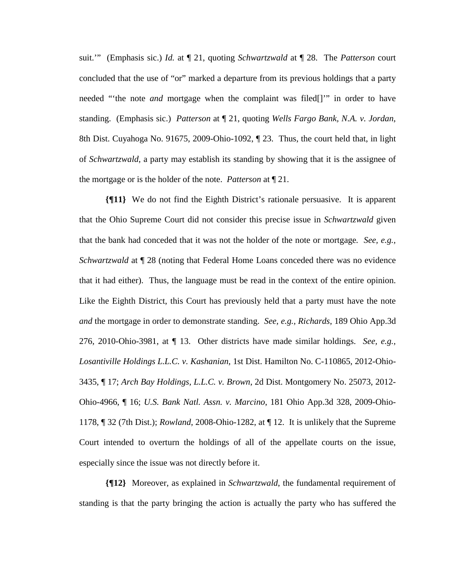suit.'" (Emphasis sic.) *Id.* at ¶ 21, quoting *Schwartzwald* at ¶ 28. The *Patterson* court concluded that the use of "or" marked a departure from its previous holdings that a party needed "'the note *and* mortgage when the complaint was filed[]'" in order to have standing. (Emphasis sic.) *Patterson* at ¶ 21, quoting *Wells Fargo Bank, N.A. v. Jordan*, 8th Dist. Cuyahoga No. 91675, 2009-Ohio-1092, ¶ 23. Thus, the court held that, in light of *Schwartzwald*, a party may establish its standing by showing that it is the assignee of the mortgage or is the holder of the note. *Patterson* at ¶ 21.

**{¶11}** We do not find the Eighth District's rationale persuasive. It is apparent that the Ohio Supreme Court did not consider this precise issue in *Schwartzwald* given that the bank had conceded that it was not the holder of the note or mortgage*. See, e.g., Schwartzwald* at  $\sqrt{ }$  28 (noting that Federal Home Loans conceded there was no evidence that it had either). Thus, the language must be read in the context of the entire opinion. Like the Eighth District, this Court has previously held that a party must have the note *and* the mortgage in order to demonstrate standing. *See, e.g., Richards*, 189 Ohio App.3d 276, 2010-Ohio-3981, at ¶ 13. Other districts have made similar holdings. *See, e.g., Losantiville Holdings L.L.C. v. Kashanian*, 1st Dist. Hamilton No. C-110865, 2012-Ohio-3435, ¶ 17; *Arch Bay Holdings, L.L.C. v. Brown*, 2d Dist. Montgomery No. 25073, 2012- Ohio-4966, ¶ 16; *U.S. Bank Natl. Assn. v. Marcino*, 181 Ohio App.3d 328, 2009-Ohio-1178, ¶ 32 (7th Dist.); *Rowland*, 2008-Ohio-1282, at ¶ 12. It is unlikely that the Supreme Court intended to overturn the holdings of all of the appellate courts on the issue, especially since the issue was not directly before it.

**{¶12}** Moreover, as explained in *Schwartzwald*, the fundamental requirement of standing is that the party bringing the action is actually the party who has suffered the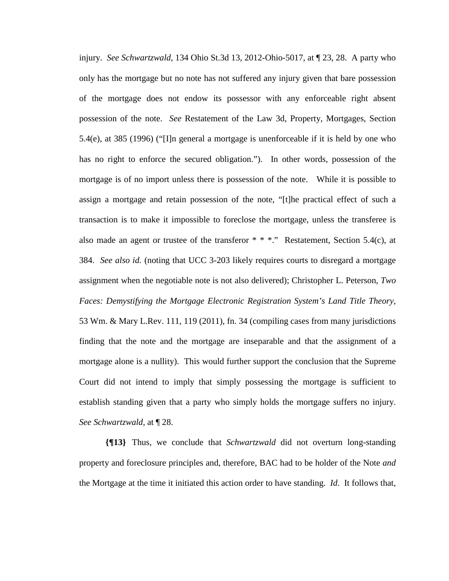injury. *See Schwartzwald*, 134 Ohio St.3d 13, 2012-Ohio-5017, at ¶ 23, 28. A party who only has the mortgage but no note has not suffered any injury given that bare possession of the mortgage does not endow its possessor with any enforceable right absent possession of the note. *See* Restatement of the Law 3d, Property, Mortgages, Section 5.4(e), at 385 (1996) ("[I]n general a mortgage is unenforceable if it is held by one who has no right to enforce the secured obligation."). In other words, possession of the mortgage is of no import unless there is possession of the note. While it is possible to assign a mortgage and retain possession of the note, "[t]he practical effect of such a transaction is to make it impossible to foreclose the mortgage, unless the transferee is also made an agent or trustee of the transferor  $* * *$ ." Restatement, Section 5.4(c), at 384. *See also id.* (noting that UCC 3-203 likely requires courts to disregard a mortgage assignment when the negotiable note is not also delivered); Christopher L. Peterson, *Two Faces: Demystifying the Mortgage Electronic Registration System's Land Title Theory*, 53 Wm. & Mary L.Rev. 111, 119 (2011), fn. 34 (compiling cases from many jurisdictions finding that the note and the mortgage are inseparable and that the assignment of a mortgage alone is a nullity). This would further support the conclusion that the Supreme Court did not intend to imply that simply possessing the mortgage is sufficient to establish standing given that a party who simply holds the mortgage suffers no injury. *See Schwartzwald*, at ¶ 28.

**{¶13}** Thus, we conclude that *Schwartzwald* did not overturn long-standing property and foreclosure principles and, therefore, BAC had to be holder of the Note *and* the Mortgage at the time it initiated this action order to have standing. *Id*. It follows that,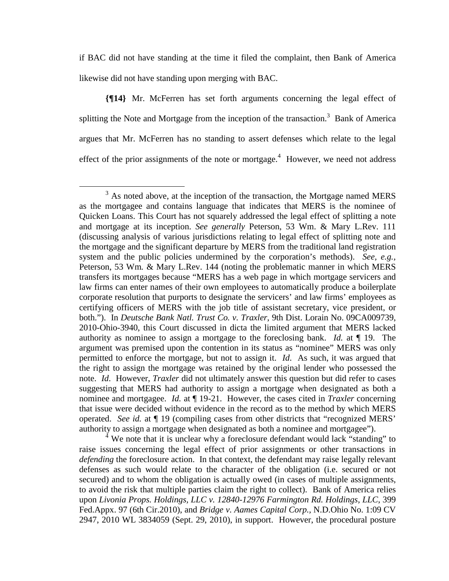if BAC did not have standing at the time it filed the complaint, then Bank of America likewise did not have standing upon merging with BAC.

**{¶14}** Mr. McFerren has set forth arguments concerning the legal effect of splitting the Note and Mortgage from the inception of the transaction.<sup>3</sup> Bank of America argues that Mr. McFerren has no standing to assert defenses which relate to the legal effect of the prior assignments of the note or mortgage. $4$  However, we need not address

<sup>4</sup> We note that it is unclear why a foreclosure defendant would lack "standing" to raise issues concerning the legal effect of prior assignments or other transactions in *defending* the foreclosure action. In that context, the defendant may raise legally relevant defenses as such would relate to the character of the obligation (i.e. secured or not secured) and to whom the obligation is actually owed (in cases of multiple assignments, to avoid the risk that multiple parties claim the right to collect). Bank of America relies upon *Livonia Props. Holdings, LLC v. 12840-12976 Farmington Rd. Holdings, LLC*, 399 Fed.Appx. 97 (6th Cir.2010), and *Bridge v. Aames Capital Corp.,* N.D.Ohio No. 1:09 CV 2947, 2010 WL 3834059 (Sept. 29, 2010), in support. However, the procedural posture

 $\frac{1}{3}$  $3$  As noted above, at the inception of the transaction, the Mortgage named MERS as the mortgagee and contains language that indicates that MERS is the nominee of Quicken Loans. This Court has not squarely addressed the legal effect of splitting a note and mortgage at its inception. *See generally* Peterson, 53 Wm. & Mary L.Rev. 111 (discussing analysis of various jurisdictions relating to legal effect of splitting note and the mortgage and the significant departure by MERS from the traditional land registration system and the public policies undermined by the corporation's methods). *See, e.g.,*  Peterson, 53 Wm*.* & Mary L.Rev. 144 (noting the problematic manner in which MERS transfers its mortgages because "MERS has a web page in which mortgage servicers and law firms can enter names of their own employees to automatically produce a boilerplate corporate resolution that purports to designate the servicers' and law firms' employees as certifying officers of MERS with the job title of assistant secretary, vice president, or both."). In *Deutsche Bank Natl. Trust Co. v. Traxler*, 9th Dist. Lorain No. 09CA009739, 2010-Ohio-3940, this Court discussed in dicta the limited argument that MERS lacked authority as nominee to assign a mortgage to the foreclosing bank. *Id.* at ¶ 19. The argument was premised upon the contention in its status as "nominee" MERS was only permitted to enforce the mortgage, but not to assign it. *Id*. As such, it was argued that the right to assign the mortgage was retained by the original lender who possessed the note. *Id*. However, *Traxler* did not ultimately answer this question but did refer to cases suggesting that MERS had authority to assign a mortgage when designated as both a nominee and mortgagee. *Id.* at ¶ 19-21. However, the cases cited in *Traxler* concerning that issue were decided without evidence in the record as to the method by which MERS operated. *See id.* at ¶ 19 (compiling cases from other districts that "recognized MERS' authority to assign a mortgage when designated as both a nominee and mortgagee").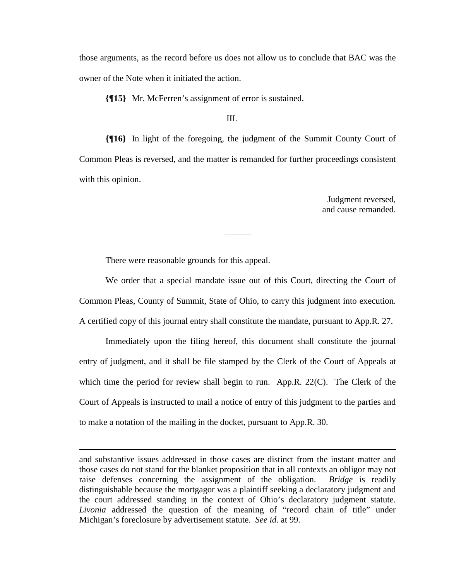those arguments, as the record before us does not allow us to conclude that BAC was the owner of the Note when it initiated the action.

**{¶15}** Mr. McFerren's assignment of error is sustained.

**{¶16}** In light of the foregoing, the judgment of the Summit County Court of Common Pleas is reversed, and the matter is remanded for further proceedings consistent with this opinion.

> Judgment reversed, and cause remanded.

There were reasonable grounds for this appeal.

 $\overline{a}$ 

 We order that a special mandate issue out of this Court, directing the Court of Common Pleas, County of Summit, State of Ohio, to carry this judgment into execution. A certified copy of this journal entry shall constitute the mandate, pursuant to App.R. 27.

 Immediately upon the filing hereof, this document shall constitute the journal entry of judgment, and it shall be file stamped by the Clerk of the Court of Appeals at which time the period for review shall begin to run. App.R. 22(C). The Clerk of the Court of Appeals is instructed to mail a notice of entry of this judgment to the parties and to make a notation of the mailing in the docket, pursuant to App.R. 30.

III.

and substantive issues addressed in those cases are distinct from the instant matter and those cases do not stand for the blanket proposition that in all contexts an obligor may not raise defenses concerning the assignment of the obligation. *Bridge* is readily distinguishable because the mortgagor was a plaintiff seeking a declaratory judgment and the court addressed standing in the context of Ohio's declaratory judgment statute. *Livonia* addressed the question of the meaning of "record chain of title" under Michigan's foreclosure by advertisement statute. *See id.* at 99.